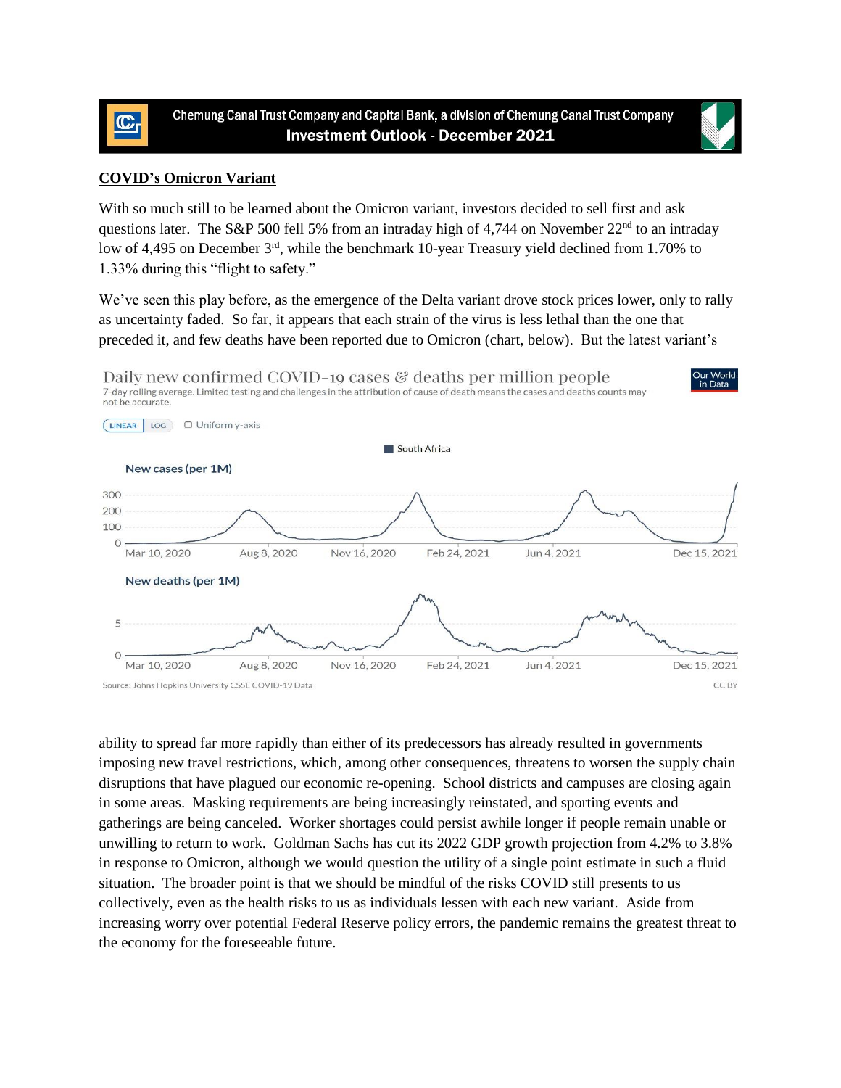



With so much still to be learned about the Omicron variant, investors decided to sell first and ask questions later. The S&P 500 fell 5% from an intraday high of 4,744 on November 22<sup>nd</sup> to an intraday low of 4,495 on December 3<sup>rd</sup>, while the benchmark 10-year Treasury yield declined from 1.70% to 1.33% during this "flight to safety."

We've seen this play before, as the emergence of the Delta variant drove stock prices lower, only to rally as uncertainty faded. So far, it appears that each strain of the virus is less lethal than the one that preceded it, and few deaths have been reported due to Omicron (chart, below). But the latest variant's



ability to spread far more rapidly than either of its predecessors has already resulted in governments imposing new travel restrictions, which, among other consequences, threatens to worsen the supply chain disruptions that have plagued our economic re-opening. School districts and campuses are closing again in some areas. Masking requirements are being increasingly reinstated, and sporting events and gatherings are being canceled. Worker shortages could persist awhile longer if people remain unable or unwilling to return to work. Goldman Sachs has cut its 2022 GDP growth projection from 4.2% to 3.8% in response to Omicron, although we would question the utility of a single point estimate in such a fluid situation. The broader point is that we should be mindful of the risks COVID still presents to us collectively, even as the health risks to us as individuals lessen with each new variant. Aside from increasing worry over potential Federal Reserve policy errors, the pandemic remains the greatest threat to the economy for the foreseeable future.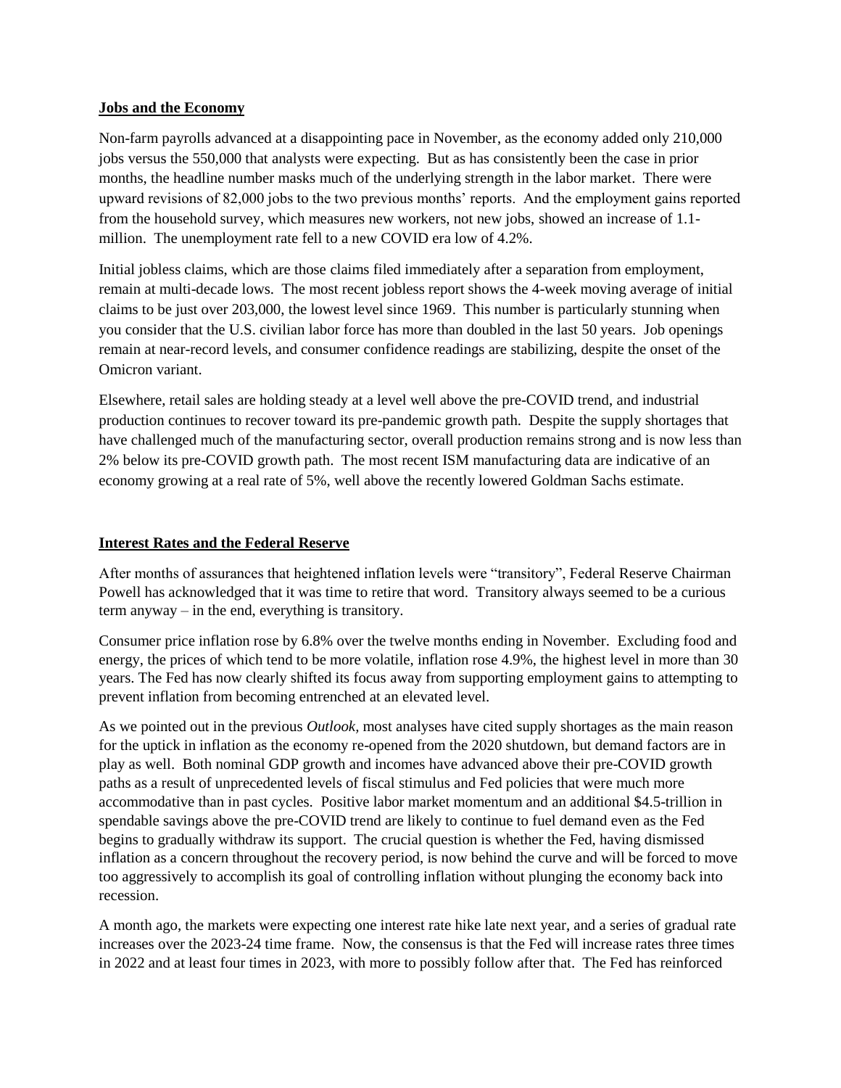## **Jobs and the Economy**

Non-farm payrolls advanced at a disappointing pace in November, as the economy added only 210,000 jobs versus the 550,000 that analysts were expecting. But as has consistently been the case in prior months, the headline number masks much of the underlying strength in the labor market. There were upward revisions of 82,000 jobs to the two previous months' reports. And the employment gains reported from the household survey, which measures new workers, not new jobs, showed an increase of 1.1 million. The unemployment rate fell to a new COVID era low of 4.2%.

Initial jobless claims, which are those claims filed immediately after a separation from employment, remain at multi-decade lows. The most recent jobless report shows the 4-week moving average of initial claims to be just over 203,000, the lowest level since 1969. This number is particularly stunning when you consider that the U.S. civilian labor force has more than doubled in the last 50 years. Job openings remain at near-record levels, and consumer confidence readings are stabilizing, despite the onset of the Omicron variant.

Elsewhere, retail sales are holding steady at a level well above the pre-COVID trend, and industrial production continues to recover toward its pre-pandemic growth path. Despite the supply shortages that have challenged much of the manufacturing sector, overall production remains strong and is now less than 2% below its pre-COVID growth path. The most recent ISM manufacturing data are indicative of an economy growing at a real rate of 5%, well above the recently lowered Goldman Sachs estimate.

## **Interest Rates and the Federal Reserve**

After months of assurances that heightened inflation levels were "transitory", Federal Reserve Chairman Powell has acknowledged that it was time to retire that word. Transitory always seemed to be a curious term anyway – in the end, everything is transitory.

Consumer price inflation rose by 6.8% over the twelve months ending in November. Excluding food and energy, the prices of which tend to be more volatile, inflation rose 4.9%, the highest level in more than 30 years. The Fed has now clearly shifted its focus away from supporting employment gains to attempting to prevent inflation from becoming entrenched at an elevated level.

As we pointed out in the previous *Outlook,* most analyses have cited supply shortages as the main reason for the uptick in inflation as the economy re-opened from the 2020 shutdown, but demand factors are in play as well. Both nominal GDP growth and incomes have advanced above their pre-COVID growth paths as a result of unprecedented levels of fiscal stimulus and Fed policies that were much more accommodative than in past cycles. Positive labor market momentum and an additional \$4.5-trillion in spendable savings above the pre-COVID trend are likely to continue to fuel demand even as the Fed begins to gradually withdraw its support. The crucial question is whether the Fed, having dismissed inflation as a concern throughout the recovery period, is now behind the curve and will be forced to move too aggressively to accomplish its goal of controlling inflation without plunging the economy back into recession.

A month ago, the markets were expecting one interest rate hike late next year, and a series of gradual rate increases over the 2023-24 time frame. Now, the consensus is that the Fed will increase rates three times in 2022 and at least four times in 2023, with more to possibly follow after that. The Fed has reinforced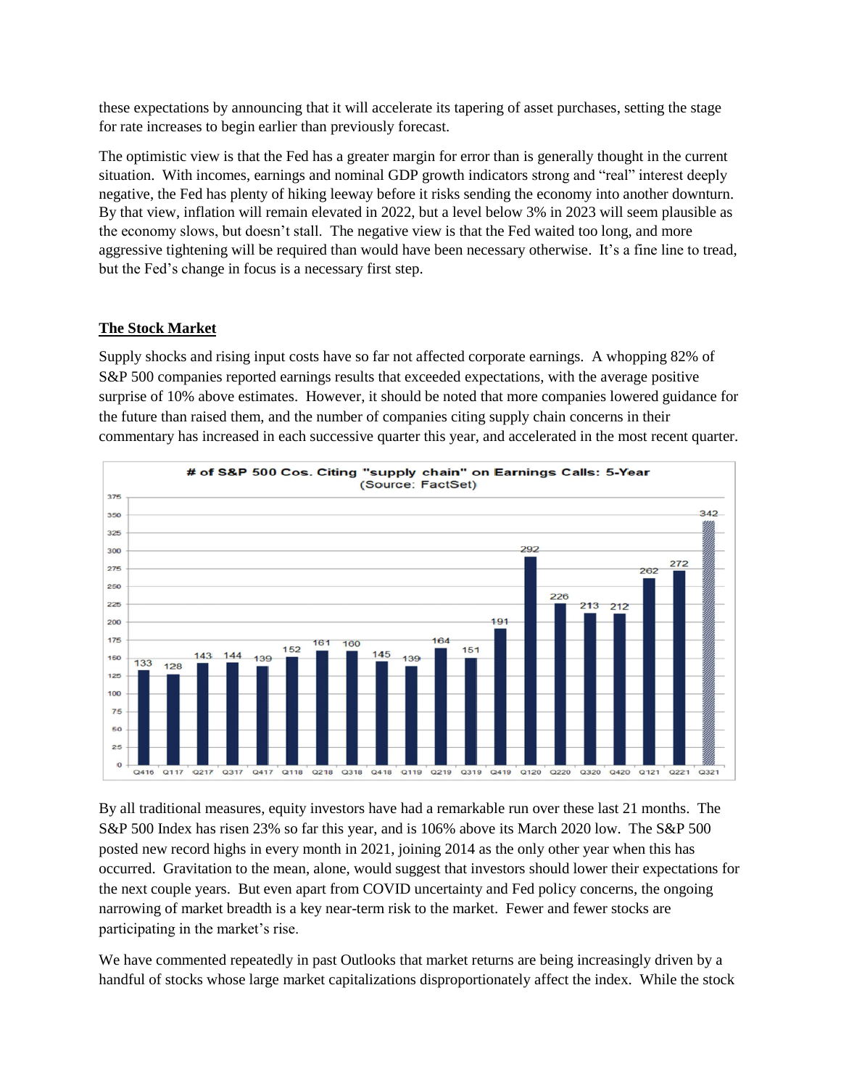these expectations by announcing that it will accelerate its tapering of asset purchases, setting the stage for rate increases to begin earlier than previously forecast.

The optimistic view is that the Fed has a greater margin for error than is generally thought in the current situation. With incomes, earnings and nominal GDP growth indicators strong and "real" interest deeply negative, the Fed has plenty of hiking leeway before it risks sending the economy into another downturn. By that view, inflation will remain elevated in 2022, but a level below 3% in 2023 will seem plausible as the economy slows, but doesn't stall. The negative view is that the Fed waited too long, and more aggressive tightening will be required than would have been necessary otherwise. It's a fine line to tread, but the Fed's change in focus is a necessary first step.

## **The Stock Market**

Supply shocks and rising input costs have so far not affected corporate earnings. A whopping 82% of S&P 500 companies reported earnings results that exceeded expectations, with the average positive surprise of 10% above estimates. However, it should be noted that more companies lowered guidance for the future than raised them, and the number of companies citing supply chain concerns in their commentary has increased in each successive quarter this year, and accelerated in the most recent quarter.



By all traditional measures, equity investors have had a remarkable run over these last 21 months. The S&P 500 Index has risen 23% so far this year, and is 106% above its March 2020 low. The S&P 500 posted new record highs in every month in 2021, joining 2014 as the only other year when this has occurred. Gravitation to the mean, alone, would suggest that investors should lower their expectations for the next couple years. But even apart from COVID uncertainty and Fed policy concerns, the ongoing narrowing of market breadth is a key near-term risk to the market. Fewer and fewer stocks are participating in the market's rise.

We have commented repeatedly in past Outlooks that market returns are being increasingly driven by a handful of stocks whose large market capitalizations disproportionately affect the index. While the stock